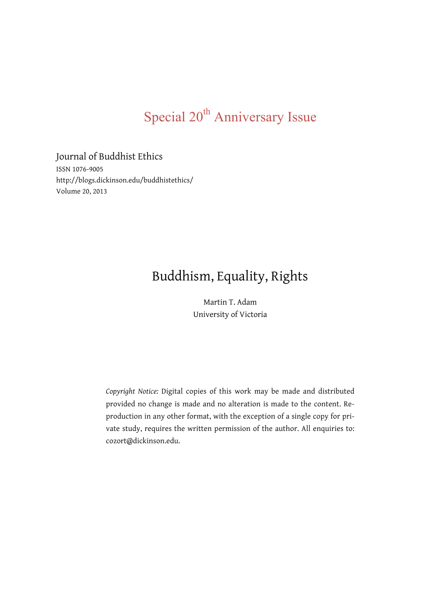# Special 20<sup>th</sup> Anniversary Issue

### Journal of Buddhist Ethics

ISSN 1076-9005 http://blogs.dickinson.edu/buddhistethics/ Volume 20, 2013

## Buddhism, Equality, Rights

Martin T. Adam University of Victoria

*Copyright Notice:* Digital copies of this work may be made and distributed provided no change is made and no alteration is made to the content. Reproduction in any other format, with the exception of a single copy for private study, requires the written permission of the author. All enquiries to: cozort@dickinson.edu.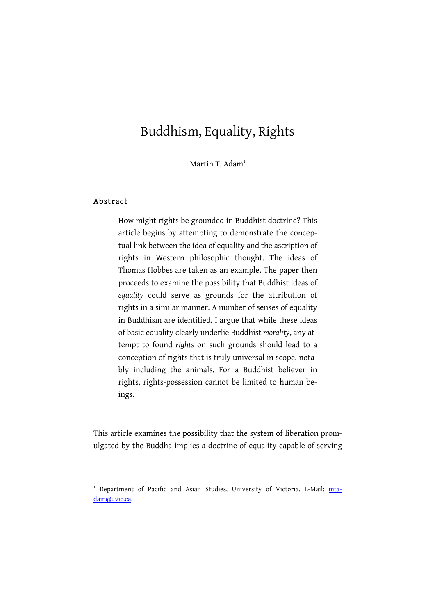### Buddhism, Equality, Rights

Martin T. Adam<sup>1</sup>

### Abstract

-

How might rights be grounded in Buddhist doctrine? This article begins by attempting to demonstrate the conceptual link between the idea of equality and the ascription of rights in Western philosophic thought. The ideas of Thomas Hobbes are taken as an example. The paper then proceeds to examine the possibility that Buddhist ideas of *equality* could serve as grounds for the attribution of rights in a similar manner. A number of senses of equality in Buddhism are identified. I argue that while these ideas of basic equality clearly underlie Buddhist *morality*, any attempt to found *rights* on such grounds should lead to a conception of rights that is truly universal in scope, notably including the animals. For a Buddhist believer in rights, rights-possession cannot be limited to human beings.

This article examines the possibility that the system of liberation promulgated by the Buddha implies a doctrine of equality capable of serving

<sup>&</sup>lt;sup>1</sup> Department of Pacific and Asian Studies, University of Victoria. E-Mail: mtadam@uvic.ca.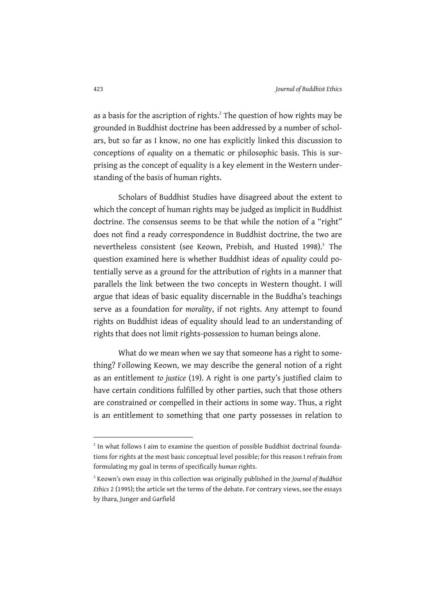as a basis for the ascription of rights.<sup>2</sup> The question of how rights may be grounded in Buddhist doctrine has been addressed by a number of scholars, but so far as I know, no one has explicitly linked this discussion to conceptions of *equality* on a thematic or philosophic basis. This is surprising as the concept of equality is a key element in the Western understanding of the basis of human rights.

Scholars of Buddhist Studies have disagreed about the extent to which the concept of human rights may be judged as implicit in Buddhist doctrine. The consensus seems to be that while the notion of a "right" does not find a ready correspondence in Buddhist doctrine, the two are nevertheless consistent (see Keown, Prebish, and Husted 1998).<sup>3</sup> The question examined here is whether Buddhist ideas of *equality* could potentially serve as a ground for the attribution of rights in a manner that parallels the link between the two concepts in Western thought. I will argue that ideas of basic equality discernable in the Buddha's teachings serve as a foundation for *morality*, if not rights. Any attempt to found rights on Buddhist ideas of equality should lead to an understanding of rights that does not limit rights-possession to human beings alone.

What do we mean when we say that someone has a right to something? Following Keown, we may describe the general notion of a right as an entitlement *to justice* (19). A right is one party's justified claim to have certain conditions fulfilled by other parties, such that those others are constrained or compelled in their actions in some way. Thus, a right is an entitlement to something that one party possesses in relation to

<sup>&</sup>lt;sup>2</sup> In what follows I aim to examine the question of possible Buddhist doctrinal foundations for rights at the most basic conceptual level possible; for this reason I refrain from formulating my goal in terms of specifically *human* rights.

<sup>3</sup> Keown's own essay in this collection was originally published in the *Journal of Buddhist Ethics* 2 (1995); the article set the terms of the debate. For contrary views, see the essays by Ihara, Junger and Garfield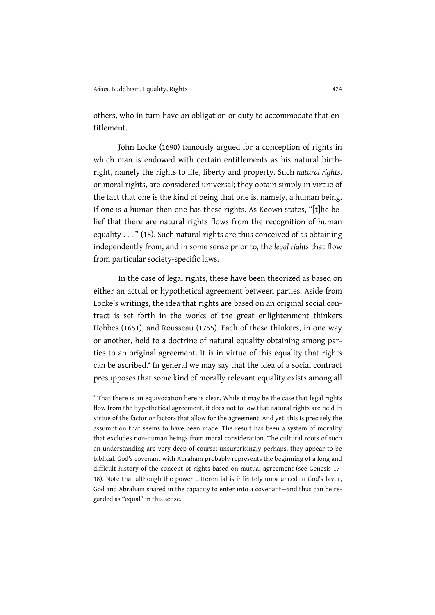others, who in turn have an obligation or duty to accommodate that entitlement.

John Locke (1690) famously argued for a conception of rights in which man is endowed with certain entitlements as his natural birthright, namely the rights to life, liberty and property. Such *natural rights*, or moral rights, are considered universal; they obtain simply in virtue of the fact that one is the kind of being that one is, namely, a human being. If one is a human then one has these rights. As Keown states, "[t]he belief that there are natural rights flows from the recognition of human equality . . . " (18). Such natural rights are thus conceived of as obtaining independently from, and in some sense prior to, the *legal rights* that flow from particular society-specific laws.

In the case of legal rights, these have been theorized as based on either an actual or hypothetical agreement between parties. Aside from Locke's writings, the idea that rights are based on an original social contract is set forth in the works of the great enlightenment thinkers Hobbes (1651), and Rousseau (1755). Each of these thinkers, in one way or another, held to a doctrine of natural equality obtaining among parties to an original agreement. It is in virtue of this equality that rights can be ascribed.<sup>4</sup> In general we may say that the idea of a social contract presupposes that some kind of morally relevant equality exists among all

<sup>&</sup>lt;sup>4</sup> That there is an equivocation here is clear. While it may be the case that legal rights flow from the hypothetical agreement, it does not follow that natural rights are held in virtue of the factor or factors that allow for the agreement. And yet, this is precisely the assumption that seems to have been made. The result has been a system of morality that excludes non-human beings from moral consideration. The cultural roots of such an understanding are very deep of course; unsurprisingly perhaps, they appear to be biblical. God's covenant with Abraham probably represents the beginning of a long and difficult history of the concept of rights based on mutual agreement (see Genesis 17- 18). Note that although the power differential is infinitely unbalanced in God's favor, God and Abraham shared in the capacity to enter into a covenant—and thus can be regarded as "equal" in this sense.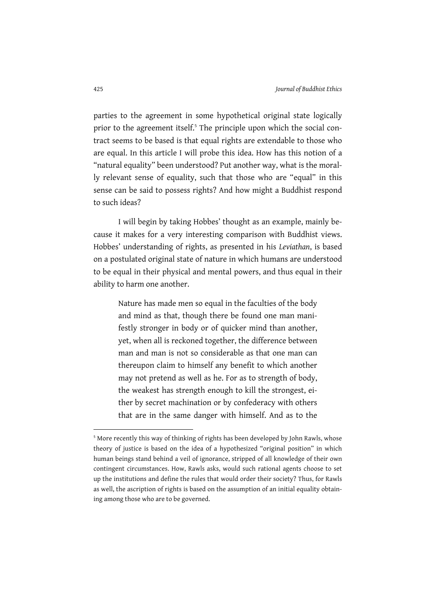parties to the agreement in some hypothetical original state logically prior to the agreement itself.<sup>5</sup> The principle upon which the social contract seems to be based is that equal rights are extendable to those who are equal. In this article I will probe this idea. How has this notion of a "natural equality" been understood? Put another way, what is the morally relevant sense of equality, such that those who are "equal" in this sense can be said to possess rights? And how might a Buddhist respond to such ideas?

I will begin by taking Hobbes' thought as an example, mainly because it makes for a very interesting comparison with Buddhist views. Hobbes' understanding of rights, as presented in his *Leviathan*, is based on a postulated original state of nature in which humans are understood to be equal in their physical and mental powers, and thus equal in their ability to harm one another.

> Nature has made men so equal in the faculties of the body and mind as that, though there be found one man manifestly stronger in body or of quicker mind than another, yet, when all is reckoned together, the difference between man and man is not so considerable as that one man can thereupon claim to himself any benefit to which another may not pretend as well as he. For as to strength of body, the weakest has strength enough to kill the strongest, either by secret machination or by confederacy with others that are in the same danger with himself. And as to the

<sup>&</sup>lt;sup>5</sup> More recently this way of thinking of rights has been developed by John Rawls, whose theory of justice is based on the idea of a hypothesized "original position" in which human beings stand behind a veil of ignorance, stripped of all knowledge of their own contingent circumstances. How, Rawls asks, would such rational agents choose to set up the institutions and define the rules that would order their society? Thus, for Rawls as well, the ascription of rights is based on the assumption of an initial equality obtaining among those who are to be governed.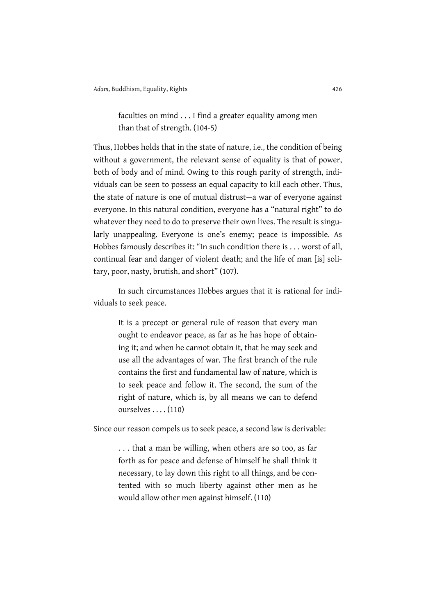faculties on mind . . . I find a greater equality among men than that of strength. (104-5)

Thus, Hobbes holds that in the state of nature, i.e., the condition of being without a government, the relevant sense of equality is that of power, both of body and of mind. Owing to this rough parity of strength, individuals can be seen to possess an equal capacity to kill each other. Thus, the state of nature is one of mutual distrust—a war of everyone against everyone. In this natural condition, everyone has a "natural right" to do whatever they need to do to preserve their own lives. The result is singularly unappealing. Everyone is one's enemy; peace is impossible. As Hobbes famously describes it: "In such condition there is . . . worst of all, continual fear and danger of violent death; and the life of man [is] solitary, poor, nasty, brutish, and short" (107).

In such circumstances Hobbes argues that it is rational for individuals to seek peace.

> It is a precept or general rule of reason that every man ought to endeavor peace, as far as he has hope of obtaining it; and when he cannot obtain it, that he may seek and use all the advantages of war. The first branch of the rule contains the first and fundamental law of nature, which is to seek peace and follow it. The second, the sum of the right of nature, which is, by all means we can to defend ourselves . . . . (110)

Since our reason compels us to seek peace, a second law is derivable:

. . . that a man be willing, when others are so too, as far forth as for peace and defense of himself he shall think it necessary, to lay down this right to all things, and be contented with so much liberty against other men as he would allow other men against himself. (110)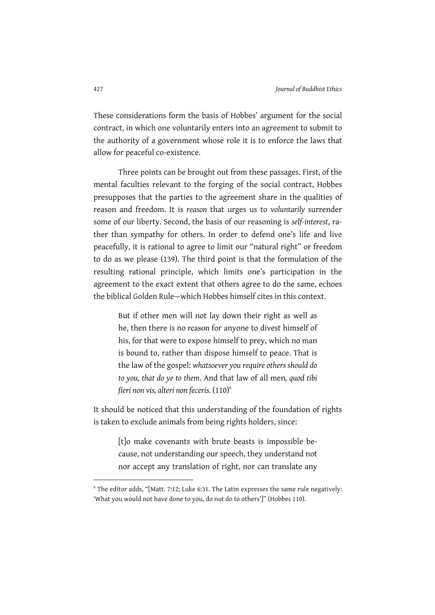These considerations form the basis of Hobbes' argument for the social contract, in which one voluntarily enters into an agreement to submit to the authority of a government whose role it is to enforce the laws that allow for peaceful co-existence.

Three points can be brought out from these passages. First, of the mental faculties relevant to the forging of the social contract, Hobbes presupposes that the parties to the agreement share in the qualities of reason and freedom. It is *reason* that urges us to *voluntarily* surrender some of our liberty. Second, the basis of our reasoning is *self-interest*, rather than sympathy for others. In order to defend one's life and live peacefully, it is rational to agree to limit our "natural right" or freedom to do as we please (139). The third point is that the formulation of the resulting rational principle, which limits one's participation in the agreement to the exact extent that others agree to do the same, echoes the biblical Golden Rule—which Hobbes himself cites in this context.

But if other men will not lay down their right as well as he, then there is no reason for anyone to divest himself of his, for that were to expose himself to prey, which no man is bound to, rather than dispose himself to peace. That is the law of the gospel: *whatsoever you require others should do to you, that do ye to them*. And that law of all men*, quod tibi fieri non vis, alteri non feceris.* (110)<sup>6</sup>

It should be noticed that this understanding of the foundation of rights is taken to exclude animals from being rights holders, since:

> [t]o make covenants with brute beasts is impossible because, not understanding our speech, they understand not nor accept any translation of right, nor can translate any

<sup>6</sup> The editor adds, "[Matt. 7:12; Luke 6:31. The Latin expresses the same rule negatively: 'What you would not have done to you, do not do to others']" (Hobbes 110).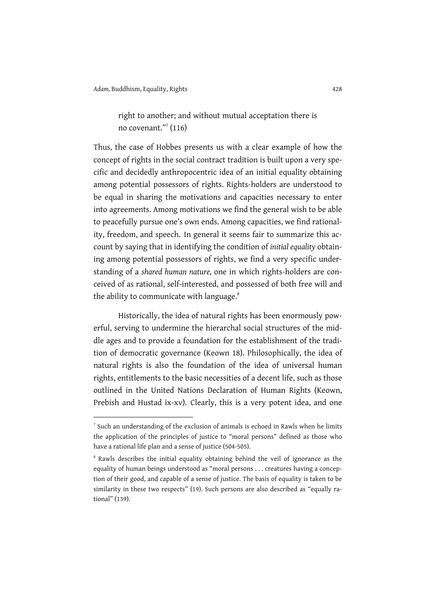right to another; and without mutual acceptation there is no covenant."7 (116)

Thus, the case of Hobbes presents us with a clear example of how the concept of rights in the social contract tradition is built upon a very specific and decidedly anthropocentric idea of an initial equality obtaining among potential possessors of rights. Rights-holders are understood to be equal in sharing the motivations and capacities necessary to enter into agreements. Among motivations we find the general wish to be able to peacefully pursue one's own ends. Among capacities, we find rationality, freedom, and speech. In general it seems fair to summarize this account by saying that in identifying the condition of *initial equality* obtaining among potential possessors of rights, we find a very specific understanding of a *shared human nature,* one in which rights-holders are conceived of as rational, self-interested, and possessed of both free will and the ability to communicate with language.<sup>8</sup>

Historically, the idea of natural rights has been enormously powerful, serving to undermine the hierarchal social structures of the middle ages and to provide a foundation for the establishment of the tradition of democratic governance (Keown 18). Philosophically, the idea of natural rights is also the foundation of the idea of universal human rights, entitlements to the basic necessities of a decent life, such as those outlined in the United Nations Declaration of Human Rights (Keown, Prebish and Hustad ix-xv). Clearly, this is a very potent idea, and one

<sup>7</sup> Such an understanding of the exclusion of animals is echoed in Rawls when he limits the application of the principles of justice to "moral persons" defined as those who have a rational life plan and a sense of justice (504-505).

<sup>&</sup>lt;sup>8</sup> Rawls describes the initial equality obtaining behind the veil of ignorance as the equality of human beings understood as "moral persons . . . creatures having a conception of their good, and capable of a sense of justice. The basis of equality is taken to be similarity in these two respects" (19). Such persons are also described as "equally rational" (139).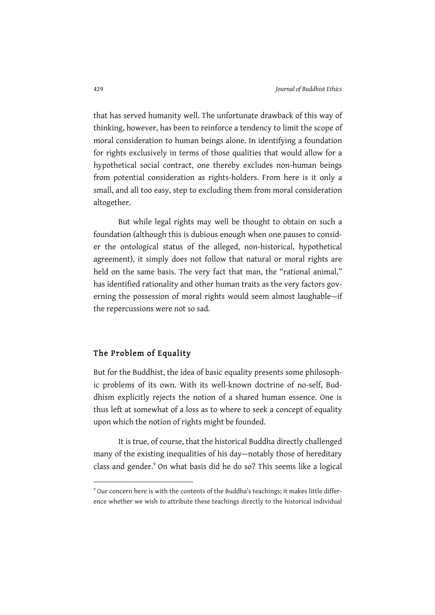that has served humanity well. The unfortunate drawback of this way of thinking, however, has been to reinforce a tendency to limit the scope of moral consideration to human beings alone. In identifying a foundation for rights exclusively in terms of those qualities that would allow for a hypothetical social contract, one thereby excludes non-human beings from potential consideration as rights-holders. From here is it only a small, and all too easy, step to excluding them from moral consideration altogether.

But while legal rights may well be thought to obtain on such a foundation (although this is dubious enough when one pauses to consider the ontological status of the alleged, non-historical, hypothetical agreement), it simply does not follow that natural or moral rights are held on the same basis. The very fact that man, the "rational animal," has identified rationality and other human traits as the very factors governing the possession of moral rights would seem almost laughable—if the repercussions were not so sad.

#### The Problem of Equality

-

But for the Buddhist, the idea of basic equality presents some philosophic problems of its own. With its well-known doctrine of no-self, Buddhism explicitly rejects the notion of a shared human essence. One is thus left at somewhat of a loss as to where to seek a concept of equality upon which the notion of rights might be founded.

It is true, of course, that the historical Buddha directly challenged many of the existing inequalities of his day—notably those of hereditary class and gender.<sup>9</sup> On what basis did he do so? This seems like a logical

<sup>9</sup> Our concern here is with the contents of the Buddha's teachings; it makes little difference whether we wish to attribute these teachings directly to the historical individual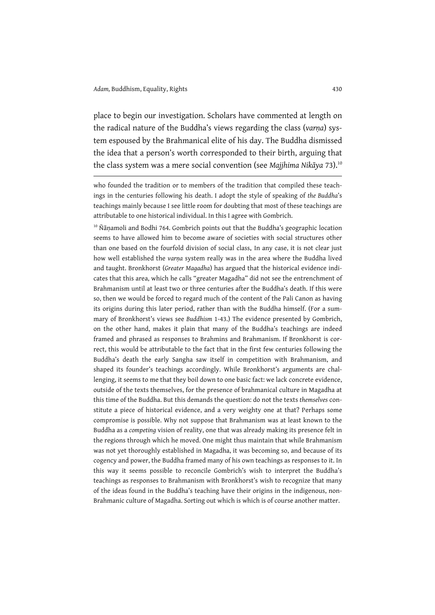place to begin our investigation. Scholars have commented at length on the radical nature of the Buddha's views regarding the class (*varṇa*) system espoused by the Brahmanical elite of his day. The Buddha dismissed the idea that a person's worth corresponded to their birth, arguing that the class system was a mere social convention (see *Majjhima Nikāya* 73). 10

who founded the tradition or to members of the tradition that compiled these teachings in the centuries following his death. I adopt the style of speaking of *the Buddha*'s teachings mainly because I see little room for doubting that most of these teachings are attributable to one historical individual. In this I agree with Gombrich.

<sup>10</sup> Ñānamoli and Bodhi 764. Gombrich points out that the Buddha's geographic location seems to have allowed him to become aware of societies with social structures other than one based on the fourfold division of social class. In any case, it is not clear just how well established the *varṇa* system really was in the area where the Buddha lived and taught. Bronkhorst (*Greater Magadha*) has argued that the historical evidence indicates that this area, which he calls "greater Magadha" did not see the entrenchment of Brahmanism until at least two or three centuries after the Buddha's death. If this were so, then we would be forced to regard much of the content of the Pali Canon as having its origins during this later period, rather than with the Buddha himself. (For a summary of Bronkhorst's views see *Buddhism* 1-43.) The evidence presented by Gombrich, on the other hand, makes it plain that many of the Buddha's teachings are indeed framed and phrased as responses to Brahmins and Brahmanism. If Bronkhorst is correct, this would be attributable to the fact that in the first few centuries following the Buddha's death the early Sangha saw itself in competition with Brahmanism, and shaped its founder's teachings accordingly. While Bronkhorst's arguments are challenging, it seems to me that they boil down to one basic fact: we lack concrete evidence, outside of the texts themselves, for the presence of brahmanical culture in Magadha at this time of the Buddha. But this demands the question: do not the texts *themselves* constitute a piece of historical evidence, and a very weighty one at that? Perhaps some compromise is possible. Why not suppose that Brahmanism was at least known to the Buddha as a *competing* vision of reality, one that was already making its presence felt in the regions through which he moved. One might thus maintain that while Brahmanism was not yet thoroughly established in Magadha, it was becoming so, and because of its cogency and power, the Buddha framed many of his own teachings as responses to it. In this way it seems possible to reconcile Gombrich's wish to interpret the Buddha's teachings as responses to Brahmanism with Bronkhorst's wish to recognize that many of the ideas found in the Buddha's teaching have their origins in the indigenous, non-Brahmanic culture of Magadha. Sorting out which is which is of course another matter.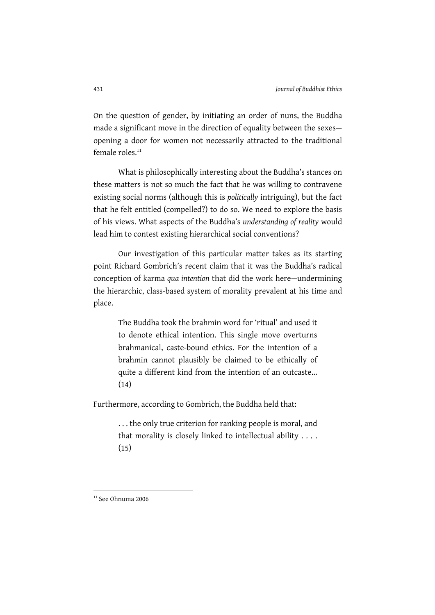On the question of gender, by initiating an order of nuns, the Buddha made a significant move in the direction of equality between the sexes opening a door for women not necessarily attracted to the traditional female roles. $11$ 

What is philosophically interesting about the Buddha's stances on these matters is not so much the fact that he was willing to contravene existing social norms (although this is *politically* intriguing), but the fact that he felt entitled (compelled?) to do so. We need to explore the basis of his views. What aspects of the Buddha's *understanding of reality* would lead him to contest existing hierarchical social conventions?

Our investigation of this particular matter takes as its starting point Richard Gombrich's recent claim that it was the Buddha's radical conception of karma *qua intention* that did the work here—undermining the hierarchic, class-based system of morality prevalent at his time and place.

The Buddha took the brahmin word for 'ritual' and used it to denote ethical intention. This single move overturns brahmanical, caste-bound ethics. For the intention of a brahmin cannot plausibly be claimed to be ethically of quite a different kind from the intention of an outcaste... (14)

Furthermore, according to Gombrich, the Buddha held that:

. . . the only true criterion for ranking people is moral, and that morality is closely linked to intellectual ability . . . .  $(15)$ 

 $11$  See Ohnuma 2006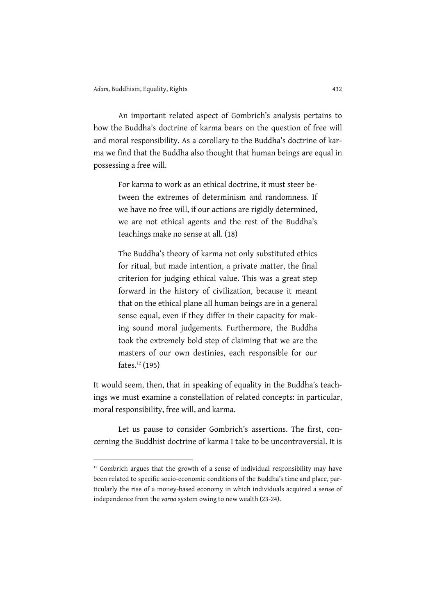An important related aspect of Gombrich's analysis pertains to how the Buddha's doctrine of karma bears on the question of free will and moral responsibility. As a corollary to the Buddha's doctrine of karma we find that the Buddha also thought that human beings are equal in possessing a free will.

> For karma to work as an ethical doctrine, it must steer between the extremes of determinism and randomness. If we have no free will, if our actions are rigidly determined, we are not ethical agents and the rest of the Buddha's teachings make no sense at all. (18)

> The Buddha's theory of karma not only substituted ethics for ritual, but made intention, a private matter, the final criterion for judging ethical value. This was a great step forward in the history of civilization, because it meant that on the ethical plane all human beings are in a general sense equal, even if they differ in their capacity for making sound moral judgements. Furthermore, the Buddha took the extremely bold step of claiming that we are the masters of our own destinies, each responsible for our fates.<sup>12</sup> (195)

It would seem, then, that in speaking of equality in the Buddha's teachings we must examine a constellation of related concepts: in particular, moral responsibility, free will, and karma.

Let us pause to consider Gombrich's assertions. The first, concerning the Buddhist doctrine of karma I take to be uncontroversial. It is

 $12$  Gombrich argues that the growth of a sense of individual responsibility may have been related to specific socio-economic conditions of the Buddha's time and place, particularly the rise of a money-based economy in which individuals acquired a sense of independence from the *varṇa* system owing to new wealth (23-24).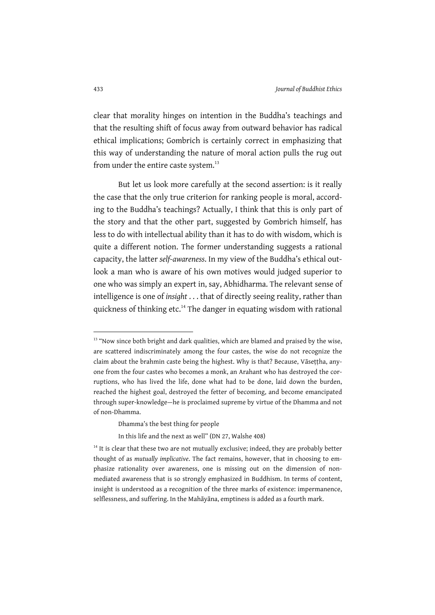clear that morality hinges on intention in the Buddha's teachings and that the resulting shift of focus away from outward behavior has radical ethical implications; Gombrich is certainly correct in emphasizing that this way of understanding the nature of moral action pulls the rug out from under the entire caste system.<sup>13</sup>

But let us look more carefully at the second assertion: is it really the case that the only true criterion for ranking people is moral, according to the Buddha's teachings? Actually, I think that this is only part of the story and that the other part, suggested by Gombrich himself, has less to do with intellectual ability than it has to do with wisdom, which is quite a different notion. The former understanding suggests a rational capacity, the latter *self-awareness*. In my view of the Buddha's ethical outlook a man who is aware of his own motives would judged superior to one who was simply an expert in, say, Abhidharma. The relevant sense of intelligence is one of *insight* . . . that of directly seeing reality, rather than quickness of thinking etc.<sup>14</sup> The danger in equating wisdom with rational

<sup>&</sup>lt;sup>13</sup> "Now since both bright and dark qualities, which are blamed and praised by the wise, are scattered indiscriminately among the four castes, the wise do not recognize the claim about the brahmin caste being the highest. Why is that? Because, Vāseṭṭha, anyone from the four castes who becomes a monk, an Arahant who has destroyed the corruptions, who has lived the life, done what had to be done, laid down the burden, reached the highest goal, destroyed the fetter of becoming, and become emancipated through super-knowledge—he is proclaimed supreme by virtue of the Dhamma and not of non-Dhamma.

Dhamma's the best thing for people

In this life and the next as well" (DN 27, Walshe 408)

 $14$  It is clear that these two are not mutually exclusive; indeed, they are probably better thought of as *mutually implicative*. The fact remains, however, that in choosing to emphasize rationality over awareness, one is missing out on the dimension of nonmediated awareness that is so strongly emphasized in Buddhism. In terms of content, insight is understood as a recognition of the three marks of existence: impermanence, selflessness, and suffering. In the Mahāyāna, emptiness is added as a fourth mark.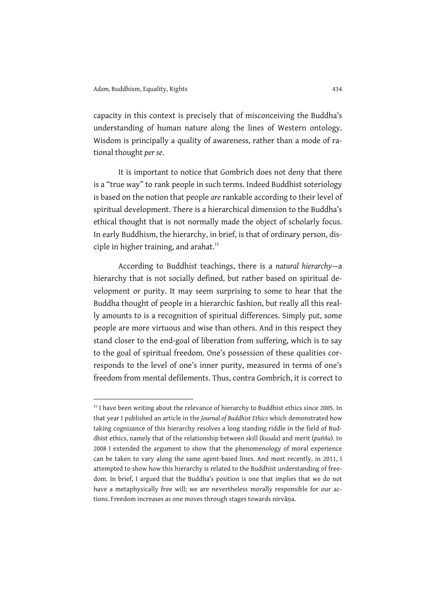capacity in this context is precisely that of misconceiving the Buddha's understanding of human nature along the lines of Western ontology. Wisdom is principally a quality of awareness, rather than a mode of rational thought *per se*.

It is important to notice that Gombrich does not deny that there is a "true way" to rank people in such terms. Indeed Buddhist soteriology is based on the notion that people *are* rankable according to their level of spiritual development. There is a hierarchical dimension to the Buddha's ethical thought that is not normally made the object of scholarly focus. In early Buddhism, the hierarchy, in brief, is that of ordinary person, disciple in higher training, and arahat.<sup>15</sup>

According to Buddhist teachings, there is a *natural hierarchy*—a hierarchy that is not socially defined, but rather based on spiritual development or purity. It may seem surprising to some to hear that the Buddha thought of people in a hierarchic fashion, but really all this really amounts to is a recognition of spiritual differences. Simply put, some people are more virtuous and wise than others. And in this respect they stand closer to the end-goal of liberation from suffering, which is to say to the goal of spiritual freedom. One's possession of these qualities corresponds to the level of one's inner purity, measured in terms of one's freedom from mental defilements. Thus, contra Gombrich, it is correct to

<sup>&</sup>lt;sup>15</sup> I have been writing about the relevance of hierarchy to Buddhist ethics since 2005. In that year I published an article in the *Journal of Buddhist Ethics* which demonstrated how taking cognizance of this hierarchy resolves a long standing riddle in the field of Buddhist ethics, namely that of the relationship between skill (*kusala*) and merit (*puñña*). In 2008 I extended the argument to show that the phenomenology of moral experience can be taken to vary along the same agent-based lines. And most recently, in 2011, I attempted to show how this hierarchy is related to the Buddhist understanding of freedom. In brief, I argued that the Buddha's position is one that implies that we do not have a metaphysically free will; we are nevertheless morally responsible for our actions. Freedom increases as one moves through stages towards nirvāṇa.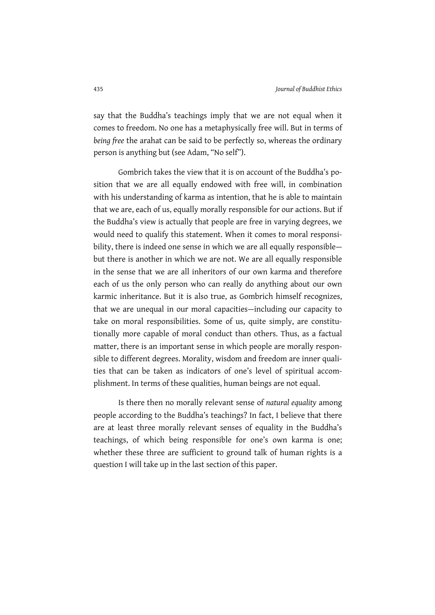say that the Buddha's teachings imply that we are not equal when it comes to freedom. No one has a metaphysically free will. But in terms of *being free* the arahat can be said to be perfectly so, whereas the ordinary person is anything but (see Adam, "No self").

Gombrich takes the view that it is on account of the Buddha's position that we are all equally endowed with free will, in combination with his understanding of karma as intention, that he is able to maintain that we are, each of us, equally morally responsible for our actions. But if the Buddha's view is actually that people are free in varying degrees, we would need to qualify this statement. When it comes to moral responsibility, there is indeed one sense in which we are all equally responsible but there is another in which we are not. We are all equally responsible in the sense that we are all inheritors of our own karma and therefore each of us the only person who can really do anything about our own karmic inheritance. But it is also true, as Gombrich himself recognizes, that we are unequal in our moral capacities—including our capacity to take on moral responsibilities. Some of us, quite simply, are constitutionally more capable of moral conduct than others. Thus, as a factual matter, there is an important sense in which people are morally responsible to different degrees. Morality, wisdom and freedom are inner qualities that can be taken as indicators of one's level of spiritual accomplishment. In terms of these qualities, human beings are not equal.

Is there then no morally relevant sense of *natural equality* among people according to the Buddha's teachings? In fact, I believe that there are at least three morally relevant senses of equality in the Buddha's teachings, of which being responsible for one's own karma is one; whether these three are sufficient to ground talk of human rights is a question I will take up in the last section of this paper.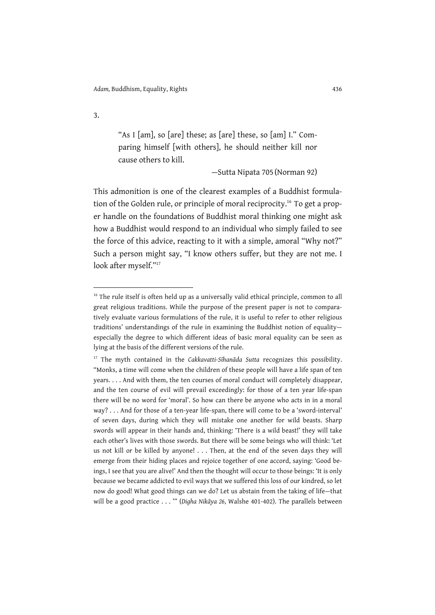"As I [am], so [are] these; as [are] these, so [am] I." Comparing himself [with others], he should neither kill nor cause others to kill.

—Sutta Nipata 705 (Norman 92)

This admonition is one of the clearest examples of a Buddhist formulation of the Golden rule, or principle of moral reciprocity.<sup>16</sup> To get a proper handle on the foundations of Buddhist moral thinking one might ask how a Buddhist would respond to an individual who simply failed to see the force of this advice, reacting to it with a simple, amoral "Why not?" Such a person might say, "I know others suffer, but they are not me. I look after myself."<sup>17</sup>

 $16$  The rule itself is often held up as a universally valid ethical principle, common to all great religious traditions. While the purpose of the present paper is not to comparatively evaluate various formulations of the rule, it is useful to refer to other religious traditions' understandings of the rule in examining the Buddhist notion of equality especially the degree to which different ideas of basic moral equality can be seen as lying at the basis of the different versions of the rule.

<sup>17</sup> The myth contained in the *Cakkavatti-Sīhanāda Sutta* recognizes this possibility. "Monks, a time will come when the children of these people will have a life span of ten years. . . . And with them, the ten courses of moral conduct will completely disappear, and the ten course of evil will prevail exceedingly: for those of a ten year life-span there will be no word for 'moral'. So how can there be anyone who acts in in a moral way? . . . And for those of a ten-year life-span, there will come to be a 'sword-interval' of seven days, during which they will mistake one another for wild beasts. Sharp swords will appear in their hands and, thinking: 'There is a wild beast!' they will take each other's lives with those swords. But there will be some beings who will think: 'Let us not kill or be killed by anyone! . . . Then, at the end of the seven days they will emerge from their hiding places and rejoice together of one accord, saying: 'Good beings, I see that you are alive!' And then the thought will occur to those beings: 'It is only because we became addicted to evil ways that we suffered this loss of our kindred, so let now do good! What good things can we do? Let us abstain from the taking of life—that will be a good practice . . . '" (*Digha Nikāya 26*, Walshe 401-402). The parallels between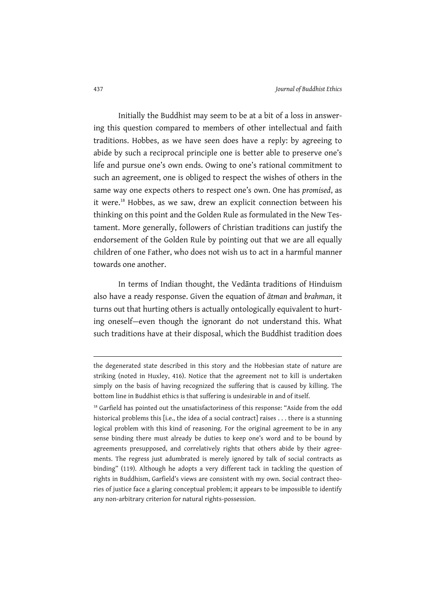Initially the Buddhist may seem to be at a bit of a loss in answering this question compared to members of other intellectual and faith traditions. Hobbes, as we have seen does have a reply: by agreeing to abide by such a reciprocal principle one is better able to preserve one's life and pursue one's own ends. Owing to one's rational commitment to such an agreement, one is obliged to respect the wishes of others in the same way one expects others to respect one's own. One has *promised*, as it were.<sup>18</sup> Hobbes, as we saw, drew an explicit connection between his thinking on this point and the Golden Rule as formulated in the New Testament. More generally, followers of Christian traditions can justify the endorsement of the Golden Rule by pointing out that we are all equally children of one Father, who does not wish us to act in a harmful manner towards one another.

In terms of Indian thought, the Vedānta traditions of Hinduism also have a ready response. Given the equation of *ātman* and *brahman*, it turns out that hurting others is actually ontologically equivalent to hurting oneself—even though the ignorant do not understand this. What such traditions have at their disposal, which the Buddhist tradition does

the degenerated state described in this story and the Hobbesian state of nature are striking (noted in Huxley, 416). Notice that the agreement not to kill is undertaken simply on the basis of having recognized the suffering that is caused by killing. The bottom line in Buddhist ethics is that suffering is undesirable in and of itself.

<sup>&</sup>lt;sup>18</sup> Garfield has pointed out the unsatisfactoriness of this response: "Aside from the odd historical problems this [i.e., the idea of a social contract] raises . . . there is a stunning logical problem with this kind of reasoning. For the original agreement to be in any sense binding there must already be duties to keep one's word and to be bound by agreements presupposed, and correlatively rights that others abide by their agreements. The regress just adumbrated is merely ignored by talk of social contracts as binding" (119). Although he adopts a very different tack in tackling the question of rights in Buddhism, Garfield's views are consistent with my own. Social contract theories of justice face a glaring conceptual problem; it appears to be impossible to identify any non-arbitrary criterion for natural rights-possession.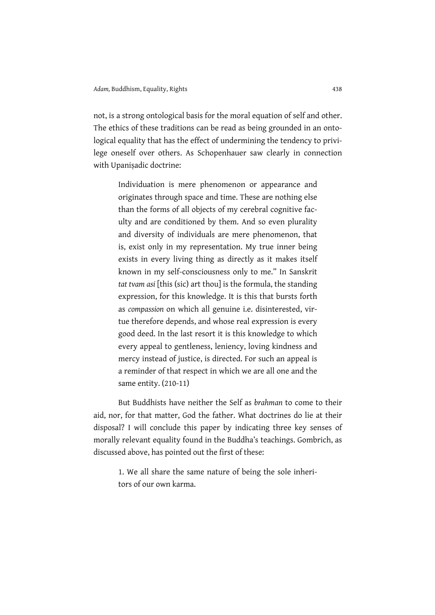not, is a strong ontological basis for the moral equation of self and other. The ethics of these traditions can be read as being grounded in an ontological equality that has the effect of undermining the tendency to privilege oneself over others. As Schopenhauer saw clearly in connection with Upanisadic doctrine:

> Individuation is mere phenomenon or appearance and originates through space and time. These are nothing else than the forms of all objects of my cerebral cognitive faculty and are conditioned by them. And so even plurality and diversity of individuals are mere phenomenon, that is, exist only in my representation. My true inner being exists in every living thing as directly as it makes itself known in my self-consciousness only to me." In Sanskrit *tat tvam asi* [this (sic) art thou] is the formula, the standing expression, for this knowledge. It is this that bursts forth as *compassion* on which all genuine i.e. disinterested, virtue therefore depends, and whose real expression is every good deed. In the last resort it is this knowledge to which every appeal to gentleness, leniency, loving kindness and mercy instead of justice, is directed. For such an appeal is a reminder of that respect in which we are all one and the same entity. (210-11)

But Buddhists have neither the Self as *brahman* to come to their aid, nor, for that matter, God the father. What doctrines do lie at their disposal? I will conclude this paper by indicating three key senses of morally relevant equality found in the Buddha's teachings. Gombrich, as discussed above, has pointed out the first of these:

1. We all share the same nature of being the sole inheritors of our own karma.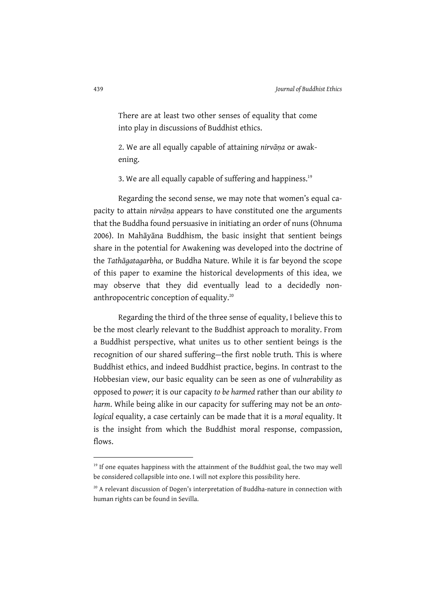There are at least two other senses of equality that come into play in discussions of Buddhist ethics.

2. We are all equally capable of attaining *nirvāṇa* or awakening.

3. We are all equally capable of suffering and happiness.<sup>19</sup>

Regarding the second sense, we may note that women's equal capacity to attain *nirvāṇa* appears to have constituted one the arguments that the Buddha found persuasive in initiating an order of nuns (Ohnuma 2006). In Mahāyāna Buddhism, the basic insight that sentient beings share in the potential for Awakening was developed into the doctrine of the *Tathāgatagarbha*, or Buddha Nature. While it is far beyond the scope of this paper to examine the historical developments of this idea, we may observe that they did eventually lead to a decidedly nonanthropocentric conception of equality.<sup>20</sup>

Regarding the third of the three sense of equality, I believe this to be the most clearly relevant to the Buddhist approach to morality. From a Buddhist perspective, what unites us to other sentient beings is the recognition of our shared suffering—the first noble truth. This is where Buddhist ethics, and indeed Buddhist practice, begins. In contrast to the Hobbesian view, our basic equality can be seen as one of *vulnerability* as opposed to *power;* it is our capacity *to be harmed* rather than our ability *to harm*. While being alike in our capacity for suffering may not be an *ontological* equality, a case certainly can be made that it is a *moral* equality. It is the insight from which the Buddhist moral response, compassion, flows.

<sup>&</sup>lt;sup>19</sup> If one equates happiness with the attainment of the Buddhist goal, the two may well be considered collapsible into one. I will not explore this possibility here.

<sup>&</sup>lt;sup>20</sup> A relevant discussion of Dogen's interpretation of Buddha-nature in connection with human rights can be found in Sevilla.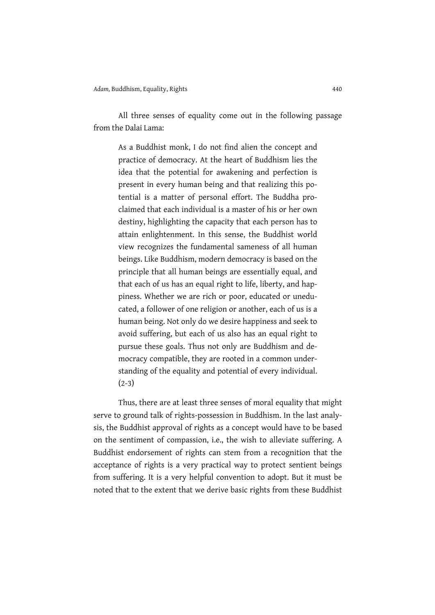All three senses of equality come out in the following passage from the Dalai Lama:

> As a Buddhist monk, I do not find alien the concept and practice of democracy. At the heart of Buddhism lies the idea that the potential for awakening and perfection is present in every human being and that realizing this potential is a matter of personal effort. The Buddha proclaimed that each individual is a master of his or her own destiny, highlighting the capacity that each person has to attain enlightenment. In this sense, the Buddhist world view recognizes the fundamental sameness of all human beings. Like Buddhism, modern democracy is based on the principle that all human beings are essentially equal, and that each of us has an equal right to life, liberty, and happiness. Whether we are rich or poor, educated or uneducated, a follower of one religion or another, each of us is a human being. Not only do we desire happiness and seek to avoid suffering, but each of us also has an equal right to pursue these goals. Thus not only are Buddhism and democracy compatible, they are rooted in a common understanding of the equality and potential of every individual. (2-3)

Thus, there are at least three senses of moral equality that might serve to ground talk of rights-possession in Buddhism. In the last analysis, the Buddhist approval of rights as a concept would have to be based on the sentiment of compassion, i.e., the wish to alleviate suffering. A Buddhist endorsement of rights can stem from a recognition that the acceptance of rights is a very practical way to protect sentient beings from suffering. It is a very helpful convention to adopt. But it must be noted that to the extent that we derive basic rights from these Buddhist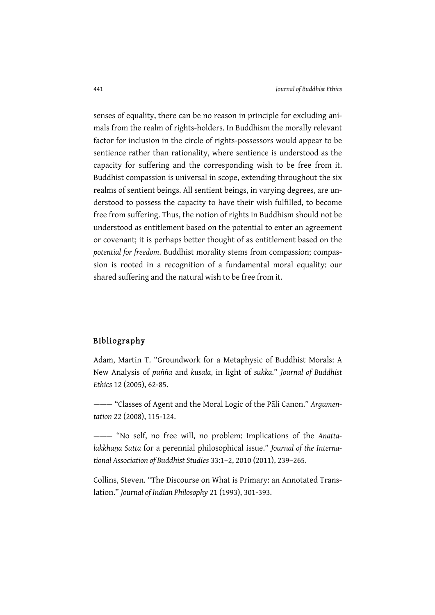senses of equality, there can be no reason in principle for excluding animals from the realm of rights-holders. In Buddhism the morally relevant factor for inclusion in the circle of rights-possessors would appear to be sentience rather than rationality, where sentience is understood as the capacity for suffering and the corresponding wish to be free from it. Buddhist compassion is universal in scope, extending throughout the six realms of sentient beings. All sentient beings, in varying degrees, are understood to possess the capacity to have their wish fulfilled, to become free from suffering. Thus, the notion of rights in Buddhism should not be understood as entitlement based on the potential to enter an agreement or covenant; it is perhaps better thought of as entitlement based on the *potential for freedom*. Buddhist morality stems from compassion; compassion is rooted in a recognition of a fundamental moral equality: our shared suffering and the natural wish to be free from it.

#### Bibliography

Adam, Martin T. "Groundwork for a Metaphysic of Buddhist Morals: A New Analysis of *puñña* and *kusala*, in light of *sukka*." *Journal of Buddhist Ethics* 12 (2005), 62-85.

——— "Classes of Agent and the Moral Logic of the Pāli Canon." *Argumentation* 22 (2008), 115-124.

——— "No self, no free will, no problem: Implications of the *Anattalakkhaṇa Sutta* for a perennial philosophical issue." *Journal of the International Association of Buddhist Studies* 33:1–2, 2010 (2011), 239–265.

Collins, Steven. "The Discourse on What is Primary: an Annotated Translation." *Journal of Indian Philosophy* 21 (1993), 301-393.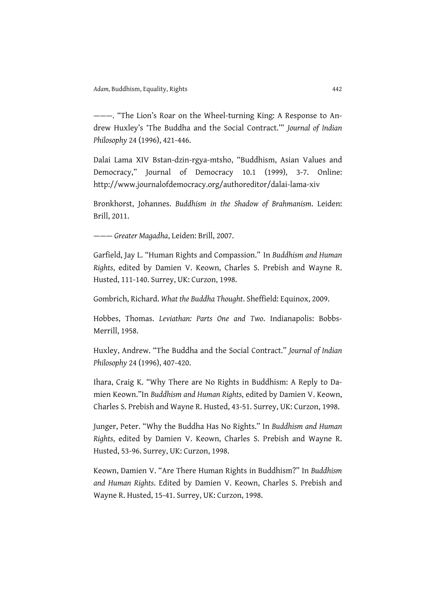———. "The Lion's Roar on the Wheel-turning King: A Response to Andrew Huxley's 'The Buddha and the Social Contract.'" *Journal of Indian Philosophy* 24 (1996), 421-446.

Dalai Lama XIV Bstan-dzin-rgya-mtsho, "Buddhism, Asian Values and Democracy," Journal of Democracy 10.1 (1999), 3-7. Online: http://www.journalofdemocracy.org/authoreditor/dalai-lama-xiv

Bronkhorst, Johannes. *Buddhism in the Shadow of Brahmanism*. Leiden: Brill, 2011.

——— *Greater Magadha*, Leiden: Brill, 2007.

Garfield, Jay L. "Human Rights and Compassion." In *Buddhism and Human Rights*, edited by Damien V. Keown, Charles S. Prebish and Wayne R. Husted, 111-140. Surrey, UK: Curzon, 1998.

Gombrich, Richard. *What the Buddha Thought*. Sheffield: Equinox, 2009.

Hobbes, Thomas. *Leviathan: Parts One and Two*. Indianapolis: Bobbs-Merrill, 1958.

Huxley, Andrew. "The Buddha and the Social Contract." *Journal of Indian Philosophy* 24 (1996), 407-420.

Ihara, Craig K. "Why There are No Rights in Buddhism: A Reply to Damien Keown."In *Buddhism and Human Rights*, edited by Damien V. Keown, Charles S. Prebish and Wayne R. Husted, 43-51. Surrey, UK: Curzon, 1998.

Junger, Peter. "Why the Buddha Has No Rights." In *Buddhism and Human Rights*, edited by Damien V. Keown, Charles S. Prebish and Wayne R. Husted, 53-96. Surrey, UK: Curzon, 1998.

Keown, Damien V. "Are There Human Rights in Buddhism?" In *Buddhism and Human Rights*. Edited by Damien V. Keown, Charles S. Prebish and Wayne R. Husted, 15-41. Surrey, UK: Curzon, 1998.